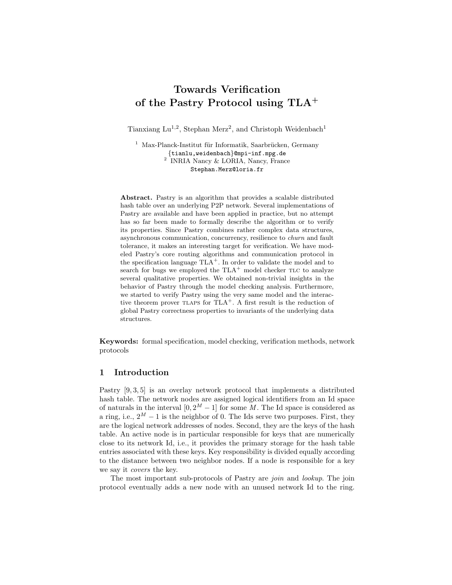# Towards Verification of the Pastry Protocol using TLA<sup>+</sup>

Tianxiang  $Lu^{1,2}$ , Stephan Merz<sup>2</sup>, and Christoph Weidenbach<sup>1</sup>

 $1$  Max-Planck-Institut für Informatik, Saarbrücken, Germany {tianlu,weidenbach}@mpi-inf.mpg.de 2 INRIA Nancy & LORIA, Nancy, France Stephan.Merz@loria.fr

Abstract. Pastry is an algorithm that provides a scalable distributed hash table over an underlying P2P network. Several implementations of Pastry are available and have been applied in practice, but no attempt has so far been made to formally describe the algorithm or to verify its properties. Since Pastry combines rather complex data structures, asynchronous communication, concurrency, resilience to churn and fault tolerance, it makes an interesting target for verification. We have modeled Pastry's core routing algorithms and communication protocol in the specification language  $TLA^+$ . In order to validate the model and to search for bugs we employed the  $TLA<sup>+</sup>$  model checker  $TLC$  to analyze several qualitative properties. We obtained non-trivial insights in the behavior of Pastry through the model checking analysis. Furthermore, we started to verify Pastry using the very same model and the interactive theorem prover TLAPS for  $TLA^+$ . A first result is the reduction of global Pastry correctness properties to invariants of the underlying data structures.

Keywords: formal specification, model checking, verification methods, network protocols

## 1 Introduction

Pastry  $[9, 3, 5]$  is an overlay network protocol that implements a distributed hash table. The network nodes are assigned logical identifiers from an Id space of naturals in the interval  $[0, 2^M - 1]$  for some M. The Id space is considered as a ring, i.e.,  $2^M - 1$  is the neighbor of 0. The Ids serve two purposes. First, they are the logical network addresses of nodes. Second, they are the keys of the hash table. An active node is in particular responsible for keys that are numerically close to its network Id, i.e., it provides the primary storage for the hash table entries associated with these keys. Key responsibility is divided equally according to the distance between two neighbor nodes. If a node is responsible for a key we say it covers the key.

The most important sub-protocols of Pastry are join and lookup. The join protocol eventually adds a new node with an unused network Id to the ring.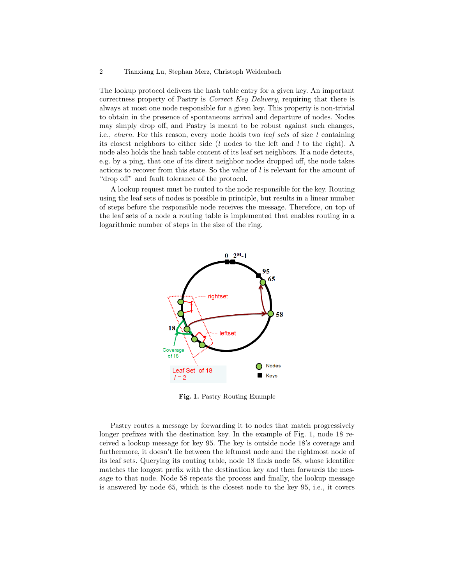The lookup protocol delivers the hash table entry for a given key. An important correctness property of Pastry is Correct Key Delivery, requiring that there is always at most one node responsible for a given key. This property is non-trivial to obtain in the presence of spontaneous arrival and departure of nodes. Nodes may simply drop off, and Pastry is meant to be robust against such changes, i.e., churn. For this reason, every node holds two leaf sets of size l containing its closest neighbors to either side (l nodes to the left and l to the right). A node also holds the hash table content of its leaf set neighbors. If a node detects, e.g. by a ping, that one of its direct neighbor nodes dropped off, the node takes actions to recover from this state. So the value of l is relevant for the amount of "drop off" and fault tolerance of the protocol.

A lookup request must be routed to the node responsible for the key. Routing using the leaf sets of nodes is possible in principle, but results in a linear number of steps before the responsible node receives the message. Therefore, on top of the leaf sets of a node a routing table is implemented that enables routing in a logarithmic number of steps in the size of the ring.



Fig. 1. Pastry Routing Example

Pastry routes a message by forwarding it to nodes that match progressively longer prefixes with the destination key. In the example of Fig. 1, node 18 received a lookup message for key 95. The key is outside node 18's coverage and furthermore, it doesn't lie between the leftmost node and the rightmost node of its leaf sets. Querying its routing table, node 18 finds node 58, whose identifier matches the longest prefix with the destination key and then forwards the message to that node. Node 58 repeats the process and finally, the lookup message is answered by node 65, which is the closest node to the key 95, i.e., it covers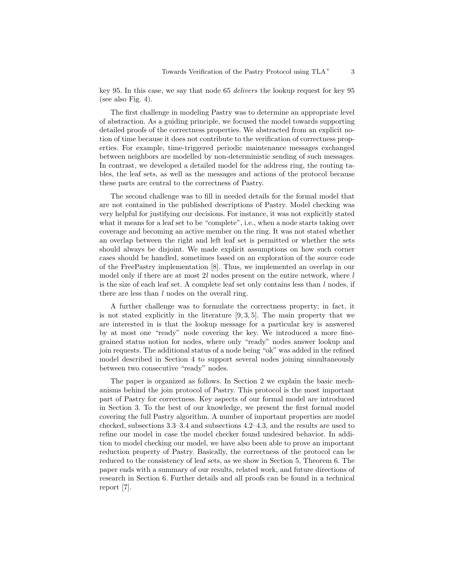key 95. In this case, we say that node 65 delivers the lookup request for key 95 (see also Fig. 4).

The first challenge in modeling Pastry was to determine an appropriate level of abstraction. As a guiding principle, we focused the model towards supporting detailed proofs of the correctness properties. We abstracted from an explicit notion of time because it does not contribute to the verification of correctness properties. For example, time-triggered periodic maintenance messages exchanged between neighbors are modelled by non-deterministic sending of such messages. In contrast, we developed a detailed model for the address ring, the routing tables, the leaf sets, as well as the messages and actions of the protocol because these parts are central to the correctness of Pastry.

The second challenge was to fill in needed details for the formal model that are not contained in the published descriptions of Pastry. Model checking was very helpful for justifying our decisions. For instance, it was not explicitly stated what it means for a leaf set to be "complete", i.e., when a node starts taking over coverage and becoming an active member on the ring. It was not stated whether an overlap between the right and left leaf set is permitted or whether the sets should always be disjoint. We made explicit assumptions on how such corner cases should be handled, sometimes based on an exploration of the source code of the FreePastry implementation [8]. Thus, we implemented an overlap in our model only if there are at most  $2l$  nodes present on the entire network, where  $l$ is the size of each leaf set. A complete leaf set only contains less than  $l$  nodes, if there are less than  $l$  nodes on the overall ring.

A further challenge was to formulate the correctness property; in fact, it is not stated explicitly in the literature  $[9, 3, 5]$ . The main property that we are interested in is that the lookup message for a particular key is answered by at most one "ready" node covering the key. We introduced a more finegrained status notion for nodes, where only "ready" nodes answer lookup and join requests. The additional status of a node being "ok" was added in the refined model described in Section 4 to support several nodes joining simultaneously between two consecutive "ready" nodes.

The paper is organized as follows. In Section 2 we explain the basic mechanisms behind the join protocol of Pastry. This protocol is the most important part of Pastry for correctness. Key aspects of our formal model are introduced in Section 3. To the best of our knowledge, we present the first formal model covering the full Pastry algorithm. A number of important properties are model checked, subsections 3.3–3.4 and subsections 4.2–4.3, and the results are used to refine our model in case the model checker found undesired behavior. In addition to model checking our model, we have also been able to prove an important reduction property of Pastry. Basically, the correctness of the protocol can be reduced to the consistency of leaf sets, as we show in Section 5, Theorem 6. The paper ends with a summary of our results, related work, and future directions of research in Section 6. Further details and all proofs can be found in a technical report [7].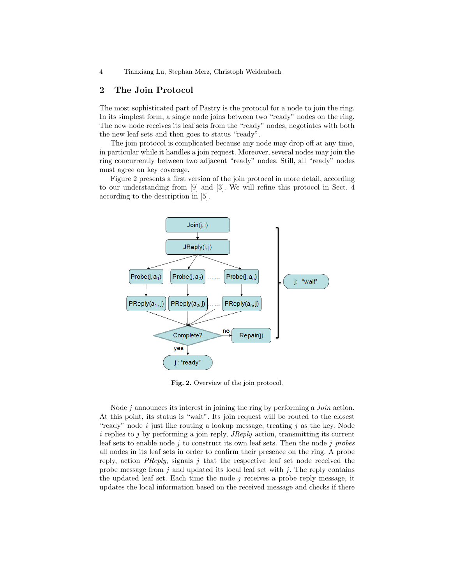# 2 The Join Protocol

The most sophisticated part of Pastry is the protocol for a node to join the ring. In its simplest form, a single node joins between two "ready" nodes on the ring. The new node receives its leaf sets from the "ready" nodes, negotiates with both the new leaf sets and then goes to status "ready".

The join protocol is complicated because any node may drop off at any time, in particular while it handles a join request. Moreover, several nodes may join the ring concurrently between two adjacent "ready" nodes. Still, all "ready" nodes must agree on key coverage.

Figure 2 presents a first version of the join protocol in more detail, according to our understanding from [9] and [3]. We will refine this protocol in Sect. 4 according to the description in [5].



Fig. 2. Overview of the join protocol.

Node  $j$  announces its interest in joining the ring by performing a *Join* action. At this point, its status is "wait". Its join request will be routed to the closest "ready" node i just like routing a lookup message, treating i as the key. Node  $i$  replies to  $j$  by performing a join reply, *JReply* action, transmitting its current leaf sets to enable node  $j$  to construct its own leaf sets. Then the node  $j$  probes all nodes in its leaf sets in order to confirm their presence on the ring. A probe reply, action  $PReply$ , signals j that the respective leaf set node received the probe message from  $j$  and updated its local leaf set with  $j$ . The reply contains the updated leaf set. Each time the node  $j$  receives a probe reply message, it updates the local information based on the received message and checks if there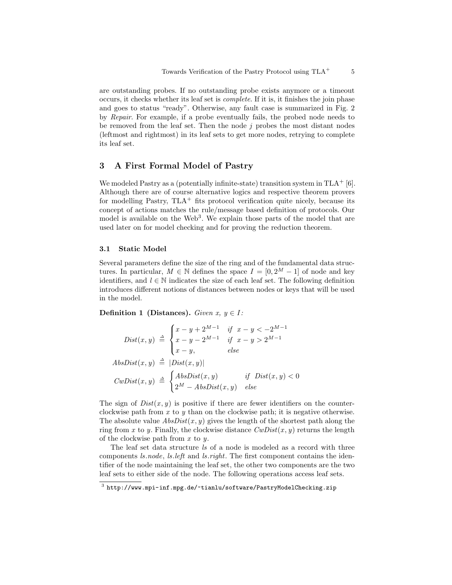are outstanding probes. If no outstanding probe exists anymore or a timeout occurs, it checks whether its leaf set is complete. If it is, it finishes the join phase and goes to status "ready". Otherwise, any fault case is summarized in Fig. 2 by Repair. For example, if a probe eventually fails, the probed node needs to be removed from the leaf set. Then the node  $j$  probes the most distant nodes (leftmost and rightmost) in its leaf sets to get more nodes, retrying to complete its leaf set.

# 3 A First Formal Model of Pastry

We modeled Pastry as a (potentially infinite-state) transition system in  $TLA<sup>+</sup>$  [6]. Although there are of course alternative logics and respective theorem provers for modelling Pastry,  $TLA^+$  fits protocol verification quite nicely, because its concept of actions matches the rule/message based definition of protocols. Our model is available on the Web<sup>3</sup>. We explain those parts of the model that are used later on for model checking and for proving the reduction theorem.

#### 3.1 Static Model

Several parameters define the size of the ring and of the fundamental data structures. In particular,  $M \in \mathbb{N}$  defines the space  $I = [0, 2^M - 1]$  of node and key identifiers, and  $l \in \mathbb{N}$  indicates the size of each leaf set. The following definition introduces different notions of distances between nodes or keys that will be used in the model.

Definition 1 (Distances). Given x,  $y \in I$ :

$$
Dist(x, y) \triangleq \begin{cases} x - y + 2^{M-1} & \text{if } x - y < -2^{M-1} \\ x - y - 2^{M-1} & \text{if } x - y > 2^{M-1} \end{cases}
$$
\n
$$
AbsDist(x, y) \triangleq |Dist(x, y)|
$$
\n
$$
CwDist(x, y) \triangleq \begin{cases} AbsDist(x, y) & \text{if } Dist(x, y) < 0 \\ 2^M - AbsDist(x, y) & \text{else} \end{cases}
$$

The sign of  $Dist(x, y)$  is positive if there are fewer identifiers on the counterclockwise path from  $x$  to  $y$  than on the clockwise path; it is negative otherwise. The absolute value  $AbsDist(x, y)$  gives the length of the shortest path along the ring from x to y. Finally, the clockwise distance  $CwDist(x, y)$  returns the length of the clockwise path from  $x$  to  $y$ .

The leaf set data structure ls of a node is modeled as a record with three components ls.node, ls.left and ls.right. The first component contains the identifier of the node maintaining the leaf set, the other two components are the two leaf sets to either side of the node. The following operations access leaf sets.

 $^3$  http://www.mpi-inf.mpg.de/~tianlu/software/PastryModelChecking.zip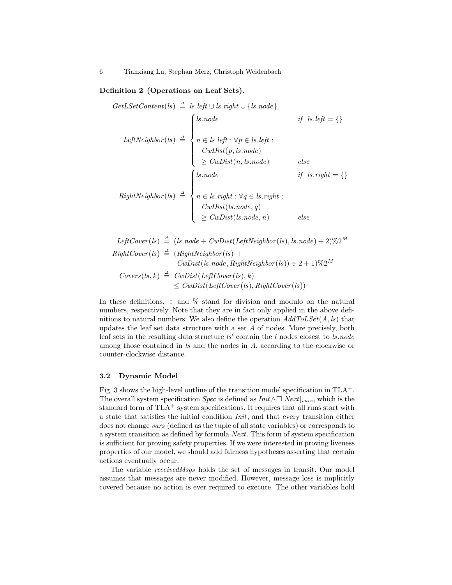### Definition 2 (Operations on Leaf Sets).

$$
GetLSetContent(ls) \triangleq ls.left \cup ls.right \cup \{ls.node\}
$$
  
\n
$$
LeftNeighbour(ls) \triangleq \begin{cases} ls.node & if ls.left = \{\} \\ n \in ls.left : \forall p \in ls.left : \\ \text{CwDist}(p, ls.node) \\ \ge CwDist(n, ls.node) \end{cases} else \\ \text{RightNeighbour}(ls) \triangleq \begin{cases} ls.node & else \\ n \in ls.right, \forall q \in ls.right : \\ n \in ls.right : \forall q \in ls.right : \\ \text{CwDist}(ls.node, q) \\ \ge CwDist(ls.node, n) \end{cases} else \end{cases}
$$

 $LeftCover(ls) \triangleq (ls.node + CwDist(LeftNeighbour(s), ls.node) \div 2)\%2^M$  $RightCover(ls) \triangleq (RightNeighbour(ls) +$  $CwDist(ls.node, RightNeighbour(s)) \div 2 + 1)\%2^M$  $Covers(ls, k) \triangleq CwDist(LeftCover(ls), k)$  $\langle CwDist(LeftCover(ls),RightCover(ls)) \rangle$ 

In these definitions,  $\div$  and  $\%$  stand for division and modulo on the natural numbers, respectively. Note that they are in fact only applied in the above definitions to natural numbers. We also define the operation  $AddToLSet(A, ls)$  that updates the leaf set data structure with a set A of nodes. More precisely, both leaf sets in the resulting data structure  $ls'$  contain the l nodes closest to  $ls.node$ among those contained in ls and the nodes in A, according to the clockwise or counter-clockwise distance.

#### 3.2 Dynamic Model

Fig. 3 shows the high-level outline of the transition model specification in  $TLA^+$ . The overall system specification Spec is defined as  $Init \wedge \Box [Next]_{vars}$ , which is the standard form of  $TLA<sup>+</sup>$  system specifications. It requires that all runs start with a state that satisfies the initial condition Init, and that every transition either does not change vars (defined as the tuple of all state variables) or corresponds to a system transition as defined by formula Next. This form of system specification is sufficient for proving safety properties. If we were interested in proving liveness properties of our model, we should add fairness hypotheses asserting that certain actions eventually occur.

The variable receivedMsgs holds the set of messages in transit. Our model assumes that messages are never modified. However, message loss is implicitly covered because no action is ever required to execute. The other variables hold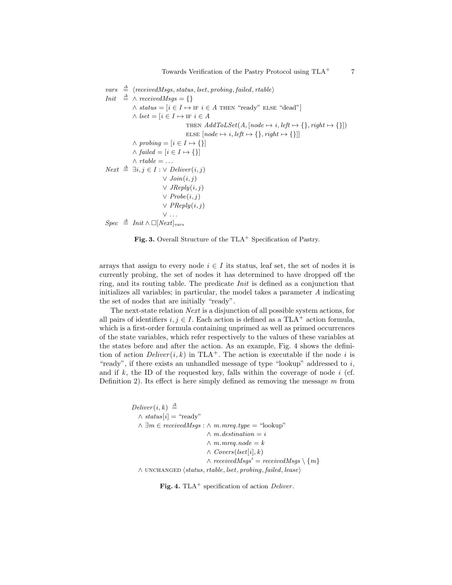$vars \triangleq \langle receivedMsgs, status, \textit{lset}, probing, failed, \textit{rtable} \rangle$ *Init*  $\triangleq$  ∧ *receivedMsqs* = {}  $\wedge$  status =  $[i \in I \mapsto \text{IF } i \in A$  THEN "ready" ELSE "dead"]  $\wedge$  lset = [ $i \in I \mapsto \text{IF } i \in A$ THEN  $AddToLSet(A, [node \rightarrow i, left \rightarrow \{\}, right \rightarrow \{\}])$ ELSE  $[node \mapsto i, left \mapsto {\text{}}, right \mapsto {\text{}}]$  $\land$  probing =  $[i \in I \mapsto \{\}]$  $\land$  failed =  $[i \in I \mapsto \{\}]$  $\wedge$  rtable =  $\dots$  $Next \triangleq \exists i, j \in I : \vee Deliver(i, j)$  $\vee$  Join $(i, j)$  $\vee$  JReply $(i, j)$  $\vee$  Probe $(i, j)$  $\vee$  PReply $(i, j)$ ∨ . . .  $Spec \triangleq Init \wedge \Box [Next]_{vars}$ 

Fig. 3. Overall Structure of the  $TLA<sup>+</sup>$  Specification of Pastry.

arrays that assign to every node  $i \in I$  its status, leaf set, the set of nodes it is currently probing, the set of nodes it has determined to have dropped off the ring, and its routing table. The predicate Init is defined as a conjunction that initializes all variables; in particular, the model takes a parameter A indicating the set of nodes that are initially "ready".

The next-state relation Next is a disjunction of all possible system actions, for all pairs of identifiers  $i, j \in I$ . Each action is defined as a TLA<sup>+</sup> action formula, which is a first-order formula containing unprimed as well as primed occurrences of the state variables, which refer respectively to the values of these variables at the states before and after the action. As an example, Fig. 4 shows the definition of action  $Deliver(i, k)$  in TLA<sup>+</sup>. The action is executable if the node i is "ready", if there exists an unhandled message of type "lookup" addressed to  $i$ , and if  $k$ , the ID of the requested key, falls within the coverage of node  $i$  (cf. Definition 2). Its effect is here simply defined as removing the message  $m$  from

```
Deliver(i, k) \triangleq\wedge status[i] = "ready"
\land \exists m \in receivedMsgs : \land m.mreq. type = "lookup"\land m.destination = i
                                  \land m.mreq.node = k\wedge \textit{Covers}(\textit{lset}[i], k)\wedge receivedMsgs' = receivedMsgs \setminus \{m\}\land UNCHANGED \langle status, \text{rtable}, \text{lset}, \text{probing}, \text{failed}, \text{lease} \rangle
```
Fig. 4. TLA<sup>+</sup> specification of action *Deliver*.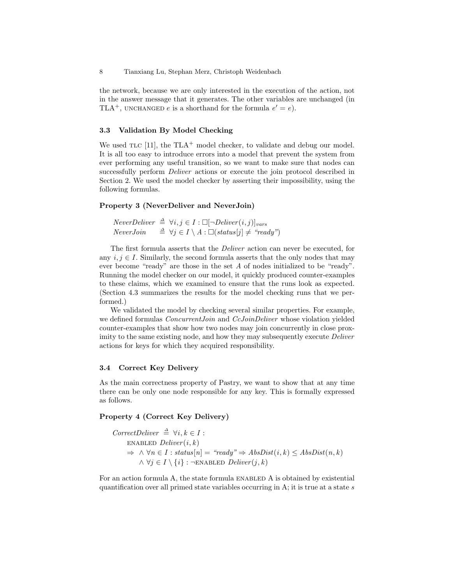the network, because we are only interested in the execution of the action, not in the answer message that it generates. The other variables are unchanged (in TLA<sup>+</sup>, UNCHANGED *e* is a shorthand for the formula  $e' = e$ .

### 3.3 Validation By Model Checking

We used TLC  $[11]$ , the TLA<sup>+</sup> model checker, to validate and debug our model. It is all too easy to introduce errors into a model that prevent the system from ever performing any useful transition, so we want to make sure that nodes can successfully perform Deliver actions or execute the join protocol described in Section 2. We used the model checker by asserting their impossibility, using the following formulas.

### Property 3 (NeverDeliver and NeverJoin)

 $Nevertheless.$ <br> $Nevertheless \triangleq \forall i, j \in I : \Box[\neg \text{Deliver}(i, j)]_{vars}$  $Nevertheless in \cong \forall j \in I \setminus A : \Box(status[j] \neq "ready")$ 

The first formula asserts that the Deliver action can never be executed, for any  $i, j \in I$ . Similarly, the second formula asserts that the only nodes that may ever become "ready" are those in the set A of nodes initialized to be "ready". Running the model checker on our model, it quickly produced counter-examples to these claims, which we examined to ensure that the runs look as expected. (Section 4.3 summarizes the results for the model checking runs that we performed.)

We validated the model by checking several similar properties. For example, we defined formulas *ConcurrentJoin* and *CcJoinDeliver* whose violation yielded counter-examples that show how two nodes may join concurrently in close proximity to the same existing node, and how they may subsequently execute *Deliver* actions for keys for which they acquired responsibility.

#### 3.4 Correct Key Delivery

As the main correctness property of Pastry, we want to show that at any time there can be only one node responsible for any key. This is formally expressed as follows.

### Property 4 (Correct Key Delivery)

 $CorrectDelier \triangleq \forall i, k \in I$ : ENABLED  $Deliver(i, k)$  $\Rightarrow \wedge \forall n \in I : status[n] = "ready" \Rightarrow AbsDist(i, k) \le AbsDist(n, k)$  $\wedge \forall j \in I \setminus \{i\} : \neg \text{ENABLED} \text{ Deliver}(j,k)$ 

For an action formula  $A$ , the state formula ENABLED  $A$  is obtained by existential quantification over all primed state variables occurring in A; it is true at a state  $s$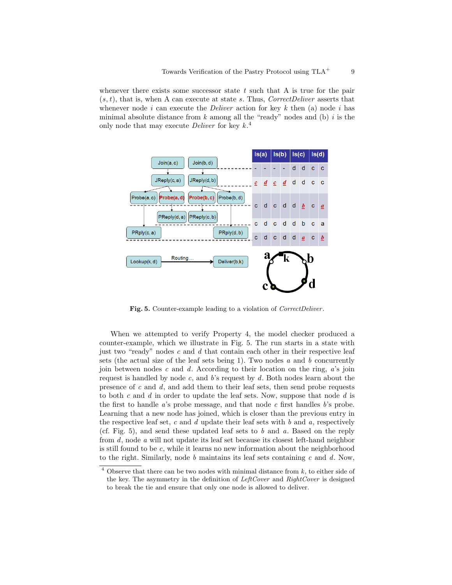whenever there exists some successor state  $t$  such that A is true for the pair  $(s, t)$ , that is, when A can execute at state s. Thus, CorrectDeliver asserts that whenever node i can execute the *Deliver* action for key k then (a) node i has minimal absolute distance from  $k$  among all the "ready" nodes and (b)  $i$  is the only node that may execute *Deliver* for key  $k^4$ .



Fig. 5. Counter-example leading to a violation of CorrectDeliver.

When we attempted to verify Property 4, the model checker produced a counter-example, which we illustrate in Fig. 5. The run starts in a state with just two "ready" nodes  $c$  and  $d$  that contain each other in their respective leaf sets (the actual size of the leaf sets being 1). Two nodes  $a$  and  $b$  concurrently join between nodes  $c$  and  $d$ . According to their location on the ring,  $a$ 's join request is handled by node c, and  $b$ 's request by d. Both nodes learn about the presence of c and  $d$ , and add them to their leaf sets, then send probe requests to both c and d in order to update the leaf sets. Now, suppose that node d is the first to handle  $a$ 's probe message, and that node  $c$  first handles  $b$ 's probe. Learning that a new node has joined, which is closer than the previous entry in the respective leaf set, c and d update their leaf sets with b and  $a$ , respectively (cf. Fig. 5), and send these updated leaf sets to  $b$  and  $a$ . Based on the reply from d, node a will not update its leaf set because its closest left-hand neighbor is still found to be  $c$ , while it learns no new information about the neighborhood to the right. Similarly, node b maintains its leaf sets containing c and d. Now,

 $4$  Observe that there can be two nodes with minimal distance from  $k$ , to either side of the key. The asymmetry in the definition of *LeftCover* and *RightCover* is designed to break the tie and ensure that only one node is allowed to deliver.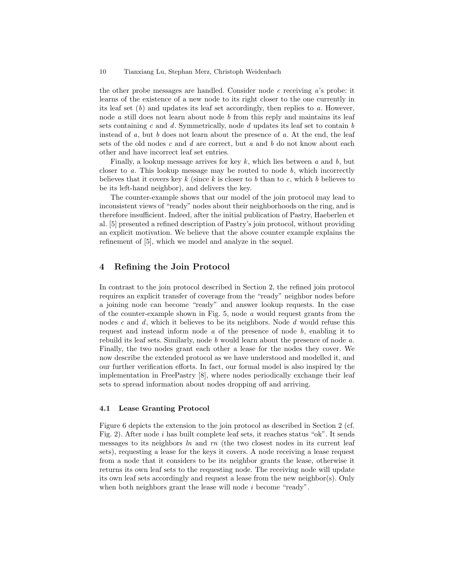the other probe messages are handled. Consider node  $c$  receiving  $a$ 's probe: it learns of the existence of a new node to its right closer to the one currently in its leaf set  $(b)$  and updates its leaf set accordingly, then replies to a. However, node  $\alpha$  still does not learn about node  $\delta$  from this reply and maintains its leaf sets containing  $c$  and  $d$ . Symmetrically, node  $d$  updates its leaf set to contain  $b$ instead of  $a$ , but  $b$  does not learn about the presence of  $a$ . At the end, the leaf sets of the old nodes c and d are correct, but a and b do not know about each other and have incorrect leaf set entries.

Finally, a lookup message arrives for key k, which lies between a and b, but closer to  $a$ . This lookup message may be routed to node  $b$ , which incorrectly believes that it covers key k (since k is closer to b than to c, which b believes to be its left-hand neighbor), and delivers the key.

The counter-example shows that our model of the join protocol may lead to inconsistent views of "ready" nodes about their neighborhoods on the ring, and is therefore insufficient. Indeed, after the initial publication of Pastry, Haeberlen et al. [5] presented a refined description of Pastry's join protocol, without providing an explicit motivation. We believe that the above counter example explains the refinement of [5], which we model and analyze in the sequel.

# 4 Refining the Join Protocol

In contrast to the join protocol described in Section 2, the refined join protocol requires an explicit transfer of coverage from the "ready" neighbor nodes before a joining node can become "ready" and answer lookup requests. In the case of the counter-example shown in Fig.  $5$ , node  $\alpha$  would request grants from the nodes  $c$  and  $d$ , which it believes to be its neighbors. Node  $d$  would refuse this request and instead inform node a of the presence of node b, enabling it to rebuild its leaf sets. Similarly, node  $b$  would learn about the presence of node  $a$ . Finally, the two nodes grant each other a lease for the nodes they cover. We now describe the extended protocol as we have understood and modelled it, and our further verification efforts. In fact, our formal model is also inspired by the implementation in FreePastry [8], where nodes periodically exchange their leaf sets to spread information about nodes dropping off and arriving.

#### 4.1 Lease Granting Protocol

Figure 6 depicts the extension to the join protocol as described in Section 2 (cf. Fig. 2). After node i has built complete leaf sets, it reaches status "ok". It sends messages to its neighbors  $ln$  and  $rn$  (the two closest nodes in its current leaf sets), requesting a lease for the keys it covers. A node receiving a lease request from a node that it considers to be its neighbor grants the lease, otherwise it returns its own leaf sets to the requesting node. The receiving node will update its own leaf sets accordingly and request a lease from the new neighbor(s). Only when both neighbors grant the lease will node *i* become "ready".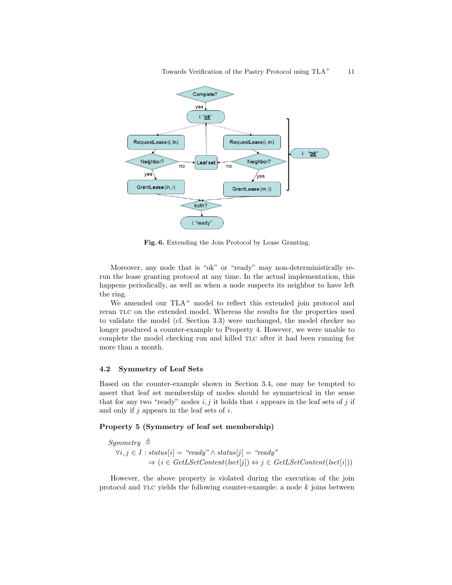

Fig. 6. Extending the Join Protocol by Lease Granting.

Moreover, any node that is "ok" or "ready" may non-deterministically rerun the lease granting protocol at any time. In the actual implementation, this happens periodically, as well as when a node suspects its neighbor to have left the ring.

We amended our TLA<sup>+</sup> model to reflect this extended join protocol and reran tlc on the extended model. Whereas the results for the properties used to validate the model (cf. Section 3.3) were unchanged, the model checker no longer produced a counter-example to Property 4. However, we were unable to complete the model checking run and killed TLC after it had been running for more than a month.

### 4.2 Symmetry of Leaf Sets

Based on the counter-example shown in Section 3.4, one may be tempted to assert that leaf set membership of nodes should be symmetrical in the sense that for any two "ready" nodes  $i, j$  it holds that i appears in the leaf sets of j if and only if  $j$  appears in the leaf sets of  $i$ .

### Property 5 (Symmetry of leaf set membership)

Symmetry 
$$
\triangleq
$$
  
\n $\forall i, j \in I : status[i] = "ready" \land status[j] = "ready"$   
\n $\Rightarrow (i \in GetLSetContent(left[j]) \Leftrightarrow j \in GetLSetContent(left[i]))$ 

However, the above property is violated during the execution of the join protocol and TLC yields the following counter-example: a node  $k$  joins between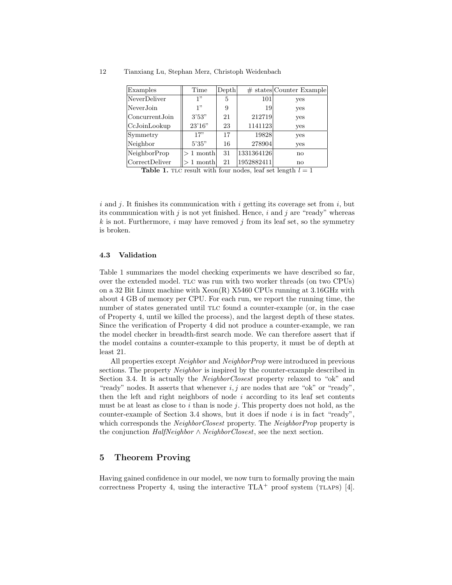| Examples        | Time       | Depth |            | $\#$ states Counter Example |
|-----------------|------------|-------|------------|-----------------------------|
| NeverDeliver    | 1"         | 5     | 101        | yes                         |
| NeverJoin       | 1"         | 9     | 19         | yes                         |
| Concurrent Join | 3'53"      | 21    | 212719     | yes                         |
| CcJoinLookup    | 23'16"     | 23    | 1141123    | yes                         |
| Symmetry        | 17"        | 17    | 19828      | yes                         |
| Neighbor        | 5'35"      | 16    | 278904     | yes                         |
| NeighborProp    | $>1$ month | 31    | 1331364126 | no                          |
| CorrectDeliver  | $>1$ month | 21    | 1952882411 | $\mathbf{n}$                |

12 Tianxiang Lu, Stephan Merz, Christoph Weidenbach

Table 1. TLC result with four nodes, leaf set length  $l = 1$ 

 $i$  and  $j$ . It finishes its communication with  $i$  getting its coverage set from  $i$ , but its communication with j is not yet finished. Hence, i and j are "ready" whereas k is not. Furthermore, i may have removed j from its leaf set, so the symmetry is broken.

### 4.3 Validation

Table 1 summarizes the model checking experiments we have described so far, over the extended model. tlc was run with two worker threads (on two CPUs) on a 32 Bit Linux machine with Xeon(R) X5460 CPUs running at 3.16GHz with about 4 GB of memory per CPU. For each run, we report the running time, the number of states generated until TLC found a counter-example (or, in the case of Property 4, until we killed the process), and the largest depth of these states. Since the verification of Property 4 did not produce a counter-example, we ran the model checker in breadth-first search mode. We can therefore assert that if the model contains a counter-example to this property, it must be of depth at least 21.

All properties except Neighbor and NeighborProp were introduced in previous sections. The property *Neighbor* is inspired by the counter-example described in Section 3.4. It is actually the *NeighborClosest* property relaxed to "ok" and "ready" nodes. It asserts that whenever  $i, j$  are nodes that are "ok" or "ready", then the left and right neighbors of node  $i$  according to its leaf set contents must be at least as close to i than is node j. This property does not hold, as the counter-example of Section 3.4 shows, but it does if node  $i$  is in fact "ready", which corresponds the *NeighborClosest* property. The *NeighborProp* property is the conjunction  $HalfNeighbour \wedge NeighbourClosest$ , see the next section.

### 5 Theorem Proving

Having gained confidence in our model, we now turn to formally proving the main correctness Property 4, using the interactive  $TLA<sup>+</sup>$  proof system (TLAPS) [4].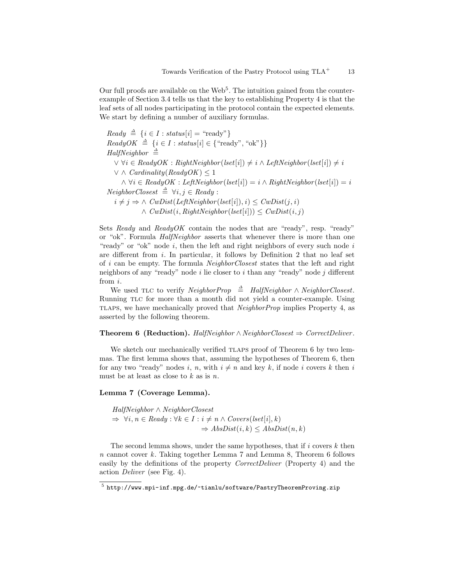Our full proofs are available on the Web<sup>5</sup>. The intuition gained from the counterexample of Section 3.4 tells us that the key to establishing Property 4 is that the leaf sets of all nodes participating in the protocol contain the expected elements. We start by defining a number of auxiliary formulas.

 $Ready \triangleq \{i \in I : status[i] = "ready"\}$  $ReadyOK \triangleq \{i \in I : status[i] \in \{\text{``ready''}, \text{``ok''}\}\}\$  $HalfNeighbour \triangleq$  $\forall \forall i \in \text{ReadyOK}: \text{RightNeighbour}(\text{Iset}[i]) \neq i \land \text{LeftNeighbour}(\text{Iset}[i]) \neq i$  $\vee \wedge \text{Cardinality}(ReadyOK) \leq 1$  $\land \forall i \in \text{ReadyOK} : \text{LeftNeighbour}(\text{Set}[i]) = i \land \text{RightNeighbour}(\text{Set}[i]) = i$  $NeighbourClosest \triangleq \forall i, j \in Ready$ :  $i \neq j \Rightarrow \wedge \textit{CwDist}(\textit{LeftNeighbour}(\textit{set}[i]), i) \leq \textit{CwDist}(j, i)$  $\land \textit{CwDist}(i, RightWeight) \leq \textit{CwDist}(i, j)$ 

Sets Ready and ReadyOK contain the nodes that are "ready", resp. "ready" or "ok". Formula HalfNeighbor asserts that whenever there is more than one "ready" or "ok" node  $i$ , then the left and right neighbors of every such node  $i$ are different from  $i$ . In particular, it follows by Definition 2 that no leaf set of i can be empty. The formula NeighborClosest states that the left and right neighbors of any "ready" node  $i$  lie closer to  $i$  than any "ready" node  $j$  different from i.

We used TLC to verify NeighborProp  $\triangleq$  HalfNeighbor ∧ NeighborClosest. Running TLC for more than a month did not yield a counter-example. Using tlaps, we have mechanically proved that NeighborProp implies Property 4, as asserted by the following theorem.

### **Theorem 6 (Reduction).** HalfNeighbor ∧ NeighborClosest  $\Rightarrow$  CorrectDeliver.

We sketch our mechanically verified TLAPS proof of Theorem 6 by two lemmas. The first lemma shows that, assuming the hypotheses of Theorem 6, then for any two "ready" nodes i, n, with  $i \neq n$  and key k, if node i covers k then i must be at least as close to  $k$  as is  $n$ .

### Lemma 7 (Coverage Lemma).

HalfNeighbor ∧ NeighborClosest  $\Rightarrow \forall i, n \in \text{Ready} : \forall k \in I : i \neq n \land \text{Covers}(\text{lset}[i], k)$  $\Rightarrow AbsDist(i, k) \le AbsDist(n, k)$ 

The second lemma shows, under the same hypotheses, that if  $i$  covers  $k$  then n cannot cover k. Taking together Lemma 7 and Lemma 8, Theorem 6 follows easily by the definitions of the property CorrectDeliver (Property 4) and the action Deliver (see Fig. 4).

 $^5$  http://www.mpi-inf.mpg.de/~tianlu/software/PastryTheoremProving.zip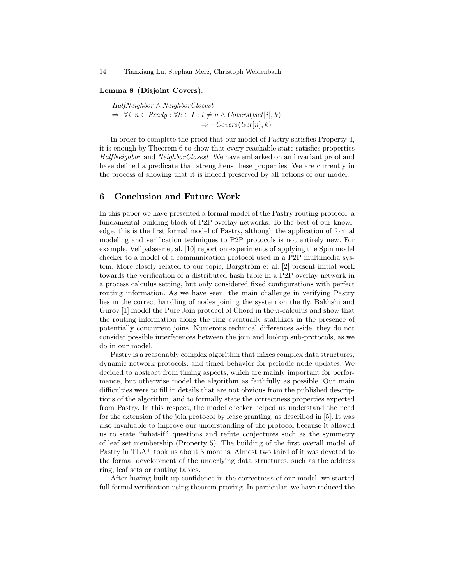### Lemma 8 (Disjoint Covers).

HalfNeighbor ∧ NeighborClosest  $\Rightarrow \forall i, n \in \text{Ready} : \forall k \in I : i \neq n \land \text{Covers}(lset[i], k)$  $\Rightarrow \neg \text{Covers}(\text{lset}[n], k)$ 

In order to complete the proof that our model of Pastry satisfies Property 4, it is enough by Theorem 6 to show that every reachable state satisfies properties HalfNeighbor and NeighborClosest. We have embarked on an invariant proof and have defined a predicate that strengthens these properties. We are currently in the process of showing that it is indeed preserved by all actions of our model.

### 6 Conclusion and Future Work

In this paper we have presented a formal model of the Pastry routing protocol, a fundamental building block of P2P overlay networks. To the best of our knowledge, this is the first formal model of Pastry, although the application of formal modeling and verification techniques to P2P protocols is not entirely new. For example, Velipalasar et al. [10] report on experiments of applying the Spin model checker to a model of a communication protocol used in a P2P multimedia system. More closely related to our topic, Borgström et al. [2] present initial work towards the verification of a distributed hash table in a P2P overlay network in a process calculus setting, but only considered fixed configurations with perfect routing information. As we have seen, the main challenge in verifying Pastry lies in the correct handling of nodes joining the system on the fly. Bakhshi and Gurov [1] model the Pure Join protocol of Chord in the  $\pi$ -calculus and show that the routing information along the ring eventually stabilizes in the presence of potentially concurrent joins. Numerous technical differences aside, they do not consider possible interferences between the join and lookup sub-protocols, as we do in our model.

Pastry is a reasonably complex algorithm that mixes complex data structures, dynamic network protocols, and timed behavior for periodic node updates. We decided to abstract from timing aspects, which are mainly important for performance, but otherwise model the algorithm as faithfully as possible. Our main difficulties were to fill in details that are not obvious from the published descriptions of the algorithm, and to formally state the correctness properties expected from Pastry. In this respect, the model checker helped us understand the need for the extension of the join protocol by lease granting, as described in [5]. It was also invaluable to improve our understanding of the protocol because it allowed us to state "what-if" questions and refute conjectures such as the symmetry of leaf set membership (Property 5). The building of the first overall model of Pastry in TLA<sup>+</sup> took us about 3 months. Almost two third of it was devoted to the formal development of the underlying data structures, such as the address ring, leaf sets or routing tables.

After having built up confidence in the correctness of our model, we started full formal verification using theorem proving. In particular, we have reduced the